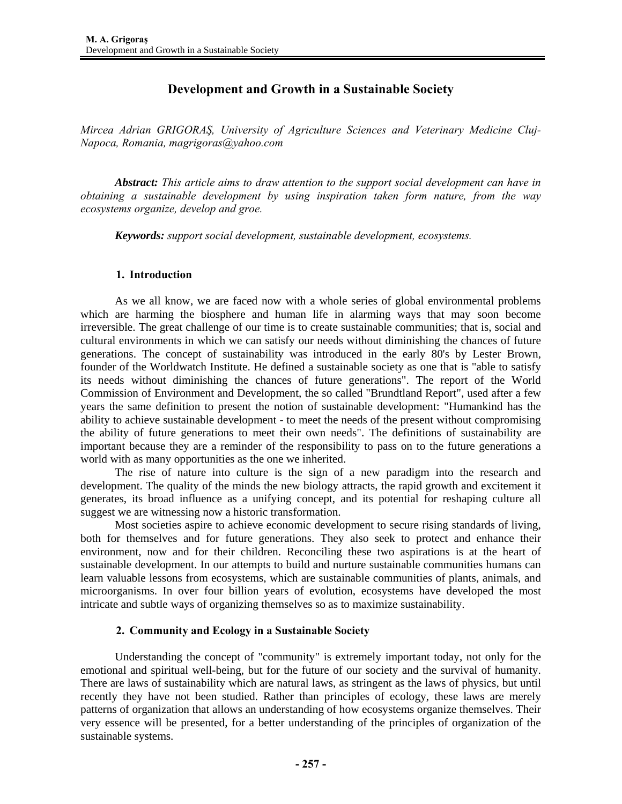# **Development and Growth in a Sustainable Society**

*Mircea Adrian GRIGORAŞ, University of Agriculture Sciences and Veterinary Medicine Cluj-Napoca, Romania, magrigoras@yahoo.com* 

*Abstract: This article aims to draw attention to the support social development can have in obtaining a sustainable development by using inspiration taken form nature, from the way ecosystems organize, develop and groe.* 

*Keywords: support social development, sustainable development, ecosystems.* 

#### **1. Introduction**

As we all know, we are faced now with a whole series of global environmental problems which are harming the biosphere and human life in alarming ways that may soon become irreversible. The great challenge of our time is to create sustainable communities; that is, social and cultural environments in which we can satisfy our needs without diminishing the chances of future generations. The concept of sustainability was introduced in the early 80's by Lester Brown, founder of the Worldwatch Institute. He defined a sustainable society as one that is "able to satisfy its needs without diminishing the chances of future generations". The report of the World Commission of Environment and Development, the so called "Brundtland Report", used after a few years the same definition to present the notion of sustainable development: "Humankind has the ability to achieve sustainable development - to meet the needs of the present without compromising the ability of future generations to meet their own needs". The definitions of sustainability are important because they are a reminder of the responsibility to pass on to the future generations a world with as many opportunities as the one we inherited.

The rise of nature into culture is the sign of a new paradigm into the research and development. The quality of the minds the new biology attracts, the rapid growth and excitement it generates, its broad influence as a unifying concept, and its potential for reshaping culture all suggest we are witnessing now a historic transformation.

Most societies aspire to achieve economic development to secure rising standards of living, both for themselves and for future generations. They also seek to protect and enhance their environment, now and for their children. Reconciling these two aspirations is at the heart of sustainable development. In our attempts to build and nurture sustainable communities humans can learn valuable lessons from ecosystems, which are sustainable communities of plants, animals, and microorganisms. In over four billion years of evolution, ecosystems have developed the most intricate and subtle ways of organizing themselves so as to maximize sustainability.

#### **2. Community and Ecology in a Sustainable Society**

Understanding the concept of "community" is extremely important today, not only for the emotional and spiritual well-being, but for the future of our society and the survival of humanity. There are laws of sustainability which are natural laws, as stringent as the laws of physics, but until recently they have not been studied. Rather than principles of ecology, these laws are merely patterns of organization that allows an understanding of how ecosystems organize themselves. Their very essence will be presented, for a better understanding of the principles of organization of the sustainable systems.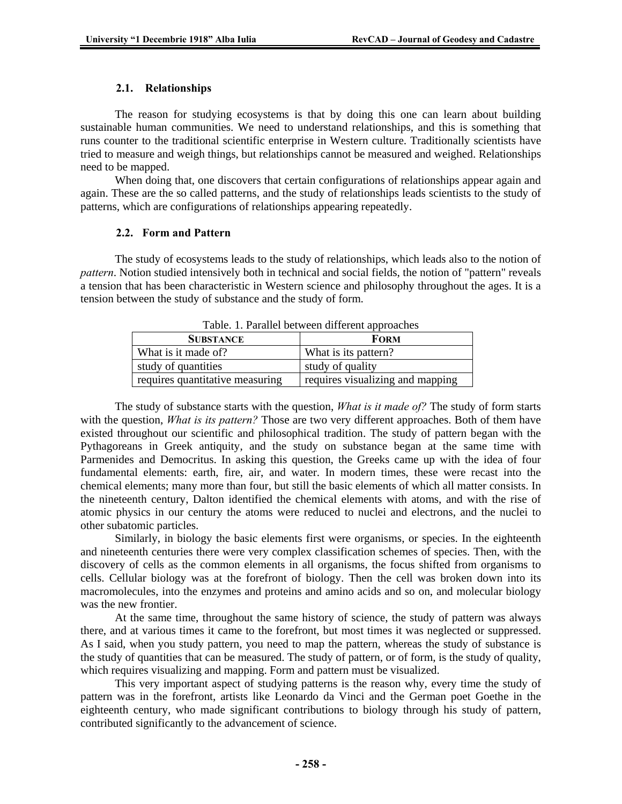## **2.1. Relationships**

The reason for studying ecosystems is that by doing this one can learn about building sustainable human communities. We need to understand relationships, and this is something that runs counter to the traditional scientific enterprise in Western culture. Traditionally scientists have tried to measure and weigh things, but relationships cannot be measured and weighed. Relationships need to be mapped.

When doing that, one discovers that certain configurations of relationships appear again and again. These are the so called patterns, and the study of relationships leads scientists to the study of patterns, which are configurations of relationships appearing repeatedly.

## **2.2. Form and Pattern**

The study of ecosystems leads to the study of relationships, which leads also to the notion of *pattern*. Notion studied intensively both in technical and social fields, the notion of "pattern" reveals a tension that has been characteristic in Western science and philosophy throughout the ages. It is a tension between the study of substance and the study of form.

| I able. I. Parallel between different approaches |                                  |
|--------------------------------------------------|----------------------------------|
| <b>SUBSTANCE</b>                                 | <b>FORM</b>                      |
| What is it made of?                              | What is its pattern?             |
| study of quantities                              | study of quality                 |
| requires quantitative measuring                  | requires visualizing and mapping |

Table. 1. Parallel between different approaches

The study of substance starts with the question, *What is it made of?* The study of form starts with the question, *What is its pattern?* Those are two very different approaches. Both of them have existed throughout our scientific and philosophical tradition. The study of pattern began with the Pythagoreans in Greek antiquity, and the study on substance began at the same time with Parmenides and Democritus. In asking this question, the Greeks came up with the idea of four fundamental elements: earth, fire, air, and water. In modern times, these were recast into the chemical elements; many more than four, but still the basic elements of which all matter consists. In the nineteenth century, Dalton identified the chemical elements with atoms, and with the rise of atomic physics in our century the atoms were reduced to nuclei and electrons, and the nuclei to other subatomic particles.

Similarly, in biology the basic elements first were organisms, or species. In the eighteenth and nineteenth centuries there were very complex classification schemes of species. Then, with the discovery of cells as the common elements in all organisms, the focus shifted from organisms to cells. Cellular biology was at the forefront of biology. Then the cell was broken down into its macromolecules, into the enzymes and proteins and amino acids and so on, and molecular biology was the new frontier.

At the same time, throughout the same history of science, the study of pattern was always there, and at various times it came to the forefront, but most times it was neglected or suppressed. As I said, when you study pattern, you need to map the pattern, whereas the study of substance is the study of quantities that can be measured. The study of pattern, or of form, is the study of quality, which requires visualizing and mapping. Form and pattern must be visualized.

This very important aspect of studying patterns is the reason why, every time the study of pattern was in the forefront, artists like Leonardo da Vinci and the German poet Goethe in the eighteenth century, who made significant contributions to biology through his study of pattern, contributed significantly to the advancement of science.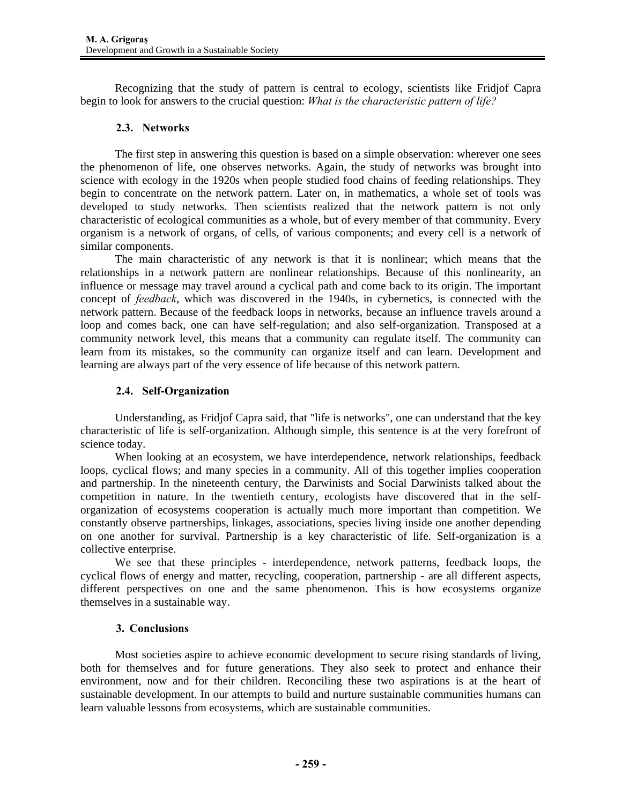Recognizing that the study of pattern is central to ecology, scientists like Fridjof Capra begin to look for answers to the crucial question: *What is the characteristic pattern of life?*

## **2.3. Networks**

The first step in answering this question is based on a simple observation: wherever one sees the phenomenon of life, one observes networks. Again, the study of networks was brought into science with ecology in the 1920s when people studied food chains of feeding relationships. They begin to concentrate on the network pattern. Later on, in mathematics, a whole set of tools was developed to study networks. Then scientists realized that the network pattern is not only characteristic of ecological communities as a whole, but of every member of that community. Every organism is a network of organs, of cells, of various components; and every cell is a network of similar components.

The main characteristic of any network is that it is nonlinear; which means that the relationships in a network pattern are nonlinear relationships. Because of this nonlinearity, an influence or message may travel around a cyclical path and come back to its origin. The important concept of *feedback*, which was discovered in the 1940s, in cybernetics, is connected with the network pattern. Because of the feedback loops in networks, because an influence travels around a loop and comes back, one can have self-regulation; and also self-organization. Transposed at a community network level, this means that a community can regulate itself. The community can learn from its mistakes, so the community can organize itself and can learn. Development and learning are always part of the very essence of life because of this network pattern.

# **2.4. Self-Organization**

Understanding, as Fridjof Capra said, that "life is networks", one can understand that the key characteristic of life is self-organization. Although simple, this sentence is at the very forefront of science today.

When looking at an ecosystem, we have interdependence, network relationships, feedback loops, cyclical flows; and many species in a community. All of this together implies cooperation and partnership. In the nineteenth century, the Darwinists and Social Darwinists talked about the competition in nature. In the twentieth century, ecologists have discovered that in the selforganization of ecosystems cooperation is actually much more important than competition. We constantly observe partnerships, linkages, associations, species living inside one another depending on one another for survival. Partnership is a key characteristic of life. Self-organization is a collective enterprise.

We see that these principles - interdependence, network patterns, feedback loops, the cyclical flows of energy and matter, recycling, cooperation, partnership - are all different aspects, different perspectives on one and the same phenomenon. This is how ecosystems organize themselves in a sustainable way.

# **3. Conclusions**

Most societies aspire to achieve economic development to secure rising standards of living, both for themselves and for future generations. They also seek to protect and enhance their environment, now and for their children. Reconciling these two aspirations is at the heart of sustainable development. In our attempts to build and nurture sustainable communities humans can learn valuable lessons from ecosystems, which are sustainable communities.